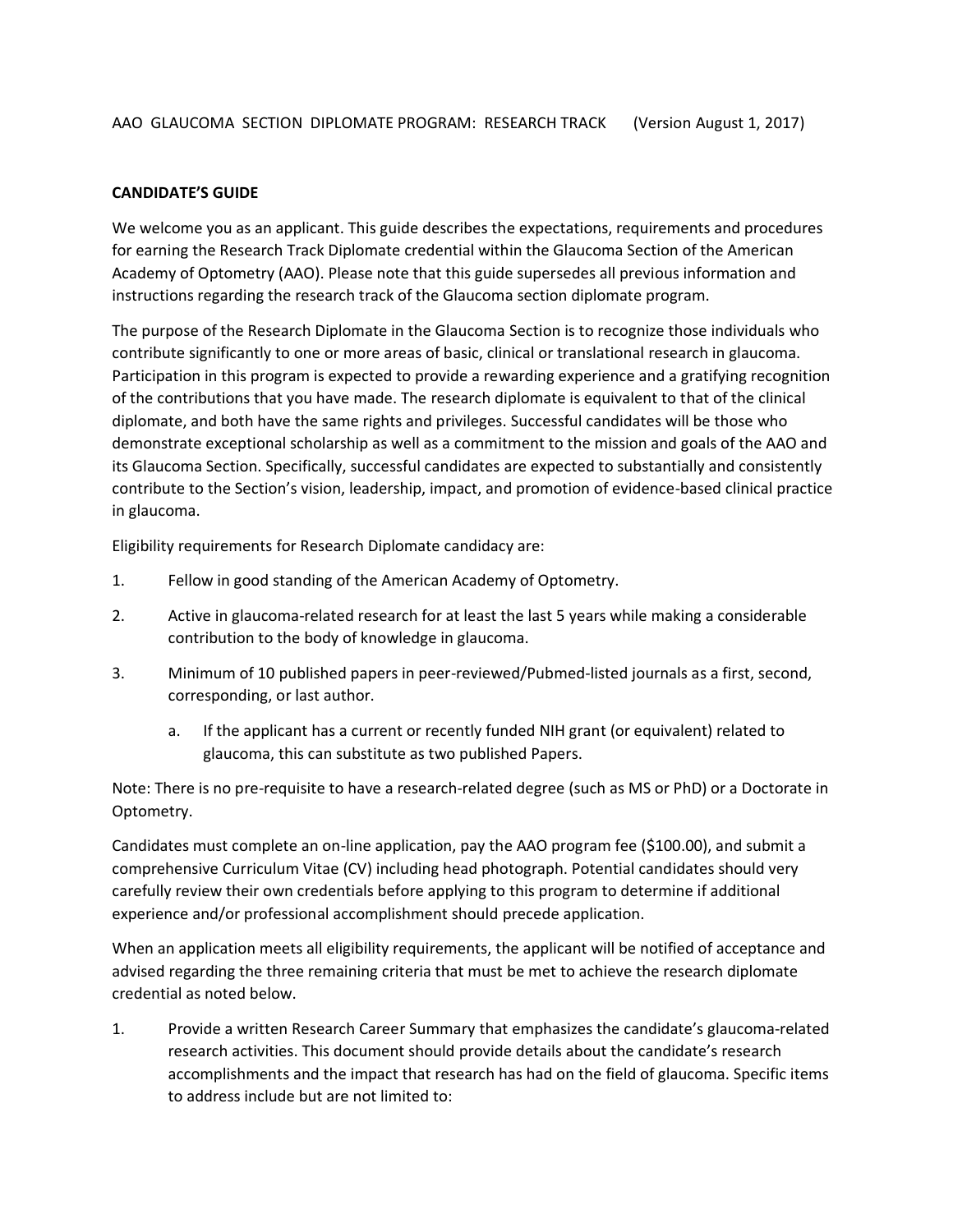## **CANDIDATE'S GUIDE**

We welcome you as an applicant. This guide describes the expectations, requirements and procedures for earning the Research Track Diplomate credential within the Glaucoma Section of the American Academy of Optometry (AAO). Please note that this guide supersedes all previous information and instructions regarding the research track of the Glaucoma section diplomate program.

The purpose of the Research Diplomate in the Glaucoma Section is to recognize those individuals who contribute significantly to one or more areas of basic, clinical or translational research in glaucoma. Participation in this program is expected to provide a rewarding experience and a gratifying recognition of the contributions that you have made. The research diplomate is equivalent to that of the clinical diplomate, and both have the same rights and privileges. Successful candidates will be those who demonstrate exceptional scholarship as well as a commitment to the mission and goals of the AAO and its Glaucoma Section. Specifically, successful candidates are expected to substantially and consistently contribute to the Section's vision, leadership, impact, and promotion of evidence-based clinical practice in glaucoma.

Eligibility requirements for Research Diplomate candidacy are:

- 1. Fellow in good standing of the American Academy of Optometry.
- 2. Active in glaucoma-related research for at least the last 5 years while making a considerable contribution to the body of knowledge in glaucoma.
- 3. Minimum of 10 published papers in peer-reviewed/Pubmed-listed journals as a first, second, corresponding, or last author.
	- a. If the applicant has a current or recently funded NIH grant (or equivalent) related to glaucoma, this can substitute as two published Papers.

Note: There is no pre-requisite to have a research-related degree (such as MS or PhD) or a Doctorate in Optometry.

Candidates must complete an on-line application, pay the AAO program fee (\$100.00), and submit a comprehensive Curriculum Vitae (CV) including head photograph. Potential candidates should very carefully review their own credentials before applying to this program to determine if additional experience and/or professional accomplishment should precede application.

When an application meets all eligibility requirements, the applicant will be notified of acceptance and advised regarding the three remaining criteria that must be met to achieve the research diplomate credential as noted below.

1. Provide a written Research Career Summary that emphasizes the candidate's glaucoma-related research activities. This document should provide details about the candidate's research accomplishments and the impact that research has had on the field of glaucoma. Specific items to address include but are not limited to: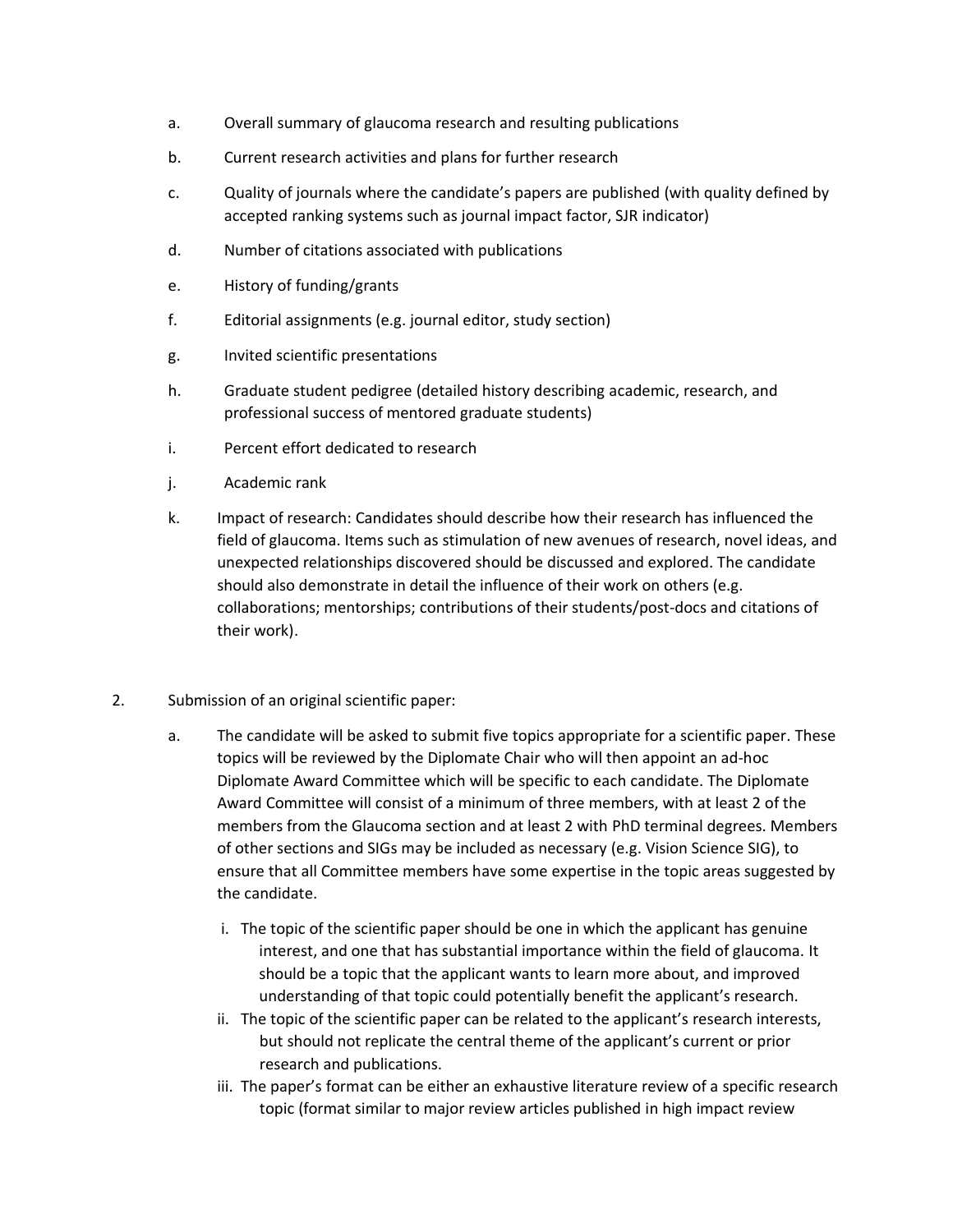- a. Overall summary of glaucoma research and resulting publications
- b. Current research activities and plans for further research
- c. Quality of journals where the candidate's papers are published (with quality defined by accepted ranking systems such as journal impact factor, SJR indicator)
- d. Number of citations associated with publications
- e. History of funding/grants
- f. Editorial assignments (e.g. journal editor, study section)
- g. Invited scientific presentations
- h. Graduate student pedigree (detailed history describing academic, research, and professional success of mentored graduate students)
- i. Percent effort dedicated to research
- j. Academic rank
- k. Impact of research: Candidates should describe how their research has influenced the field of glaucoma. Items such as stimulation of new avenues of research, novel ideas, and unexpected relationships discovered should be discussed and explored. The candidate should also demonstrate in detail the influence of their work on others (e.g. collaborations; mentorships; contributions of their students/post-docs and citations of their work).
- 2. Submission of an original scientific paper:
	- a. The candidate will be asked to submit five topics appropriate for a scientific paper. These topics will be reviewed by the Diplomate Chair who will then appoint an ad-hoc Diplomate Award Committee which will be specific to each candidate. The Diplomate Award Committee will consist of a minimum of three members, with at least 2 of the members from the Glaucoma section and at least 2 with PhD terminal degrees. Members of other sections and SIGs may be included as necessary (e.g. Vision Science SIG), to ensure that all Committee members have some expertise in the topic areas suggested by the candidate.
		- i. The topic of the scientific paper should be one in which the applicant has genuine interest, and one that has substantial importance within the field of glaucoma. It should be a topic that the applicant wants to learn more about, and improved understanding of that topic could potentially benefit the applicant's research.
		- ii. The topic of the scientific paper can be related to the applicant's research interests, but should not replicate the central theme of the applicant's current or prior research and publications.
		- iii. The paper's format can be either an exhaustive literature review of a specific research topic (format similar to major review articles published in high impact review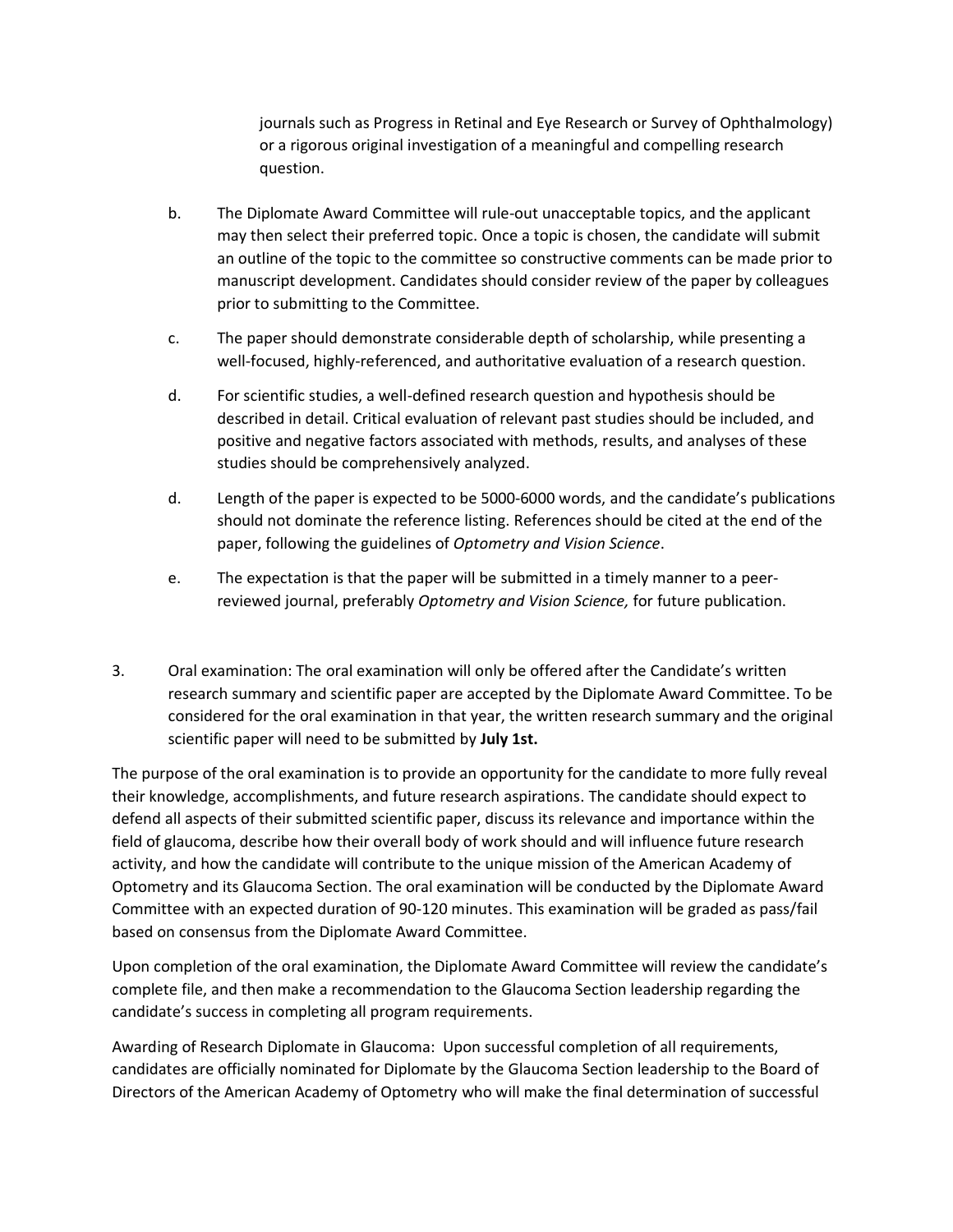journals such as Progress in Retinal and Eye Research or Survey of Ophthalmology) or a rigorous original investigation of a meaningful and compelling research question.

- b. The Diplomate Award Committee will rule-out unacceptable topics, and the applicant may then select their preferred topic. Once a topic is chosen, the candidate will submit an outline of the topic to the committee so constructive comments can be made prior to manuscript development. Candidates should consider review of the paper by colleagues prior to submitting to the Committee.
- c. The paper should demonstrate considerable depth of scholarship, while presenting a well-focused, highly-referenced, and authoritative evaluation of a research question.
- d. For scientific studies, a well-defined research question and hypothesis should be described in detail. Critical evaluation of relevant past studies should be included, and positive and negative factors associated with methods, results, and analyses of these studies should be comprehensively analyzed.
- d. Length of the paper is expected to be 5000-6000 words, and the candidate's publications should not dominate the reference listing. References should be cited at the end of the paper, following the guidelines of *Optometry and Vision Science*.
- e. The expectation is that the paper will be submitted in a timely manner to a peerreviewed journal, preferably *Optometry and Vision Science,* for future publication.
- 3. Oral examination: The oral examination will only be offered after the Candidate's written research summary and scientific paper are accepted by the Diplomate Award Committee. To be considered for the oral examination in that year, the written research summary and the original scientific paper will need to be submitted by **July 1st.**

The purpose of the oral examination is to provide an opportunity for the candidate to more fully reveal their knowledge, accomplishments, and future research aspirations. The candidate should expect to defend all aspects of their submitted scientific paper, discuss its relevance and importance within the field of glaucoma, describe how their overall body of work should and will influence future research activity, and how the candidate will contribute to the unique mission of the American Academy of Optometry and its Glaucoma Section. The oral examination will be conducted by the Diplomate Award Committee with an expected duration of 90-120 minutes. This examination will be graded as pass/fail based on consensus from the Diplomate Award Committee.

Upon completion of the oral examination, the Diplomate Award Committee will review the candidate's complete file, and then make a recommendation to the Glaucoma Section leadership regarding the candidate's success in completing all program requirements.

Awarding of Research Diplomate in Glaucoma: Upon successful completion of all requirements, candidates are officially nominated for Diplomate by the Glaucoma Section leadership to the Board of Directors of the American Academy of Optometry who will make the final determination of successful